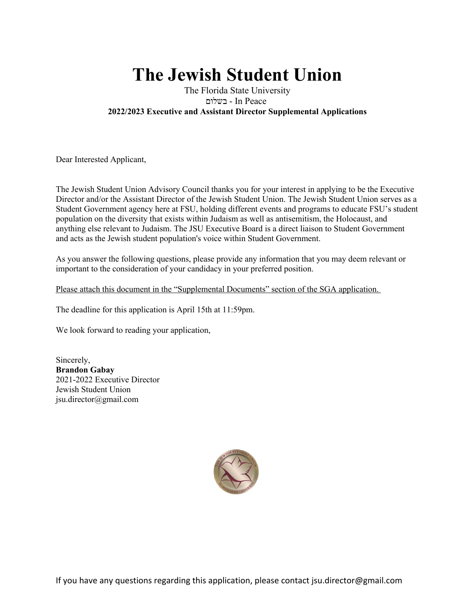# **The Jewish Student Union**

### The Florida State University םולשב - In Peace **2022/2023 Executive and Assistant Director Supplemental Applications**

Dear Interested Applicant,

The Jewish Student Union Advisory Council thanks you for your interest in applying to be the Executive Director and/or the Assistant Director of the Jewish Student Union. The Jewish Student Union serves as a Student Government agency here at FSU, holding different events and programs to educate FSU's student population on the diversity that exists within Judaism as well as antisemitism, the Holocaust, and anything else relevant to Judaism. The JSU Executive Board is a direct liaison to Student Government and acts as the Jewish student population's voice within Student Government.

As you answer the following questions, please provide any information that you may deem relevant or important to the consideration of your candidacy in your preferred position.

Please attach this document in the "Supplemental Documents" section of the SGA application.

The deadline for this application is April 15th at 11:59pm.

We look forward to reading your application,

Sincerely, **Brandon Gabay** 2021-2022 Executive Director Jewish Student Union jsu.director@gmail.com

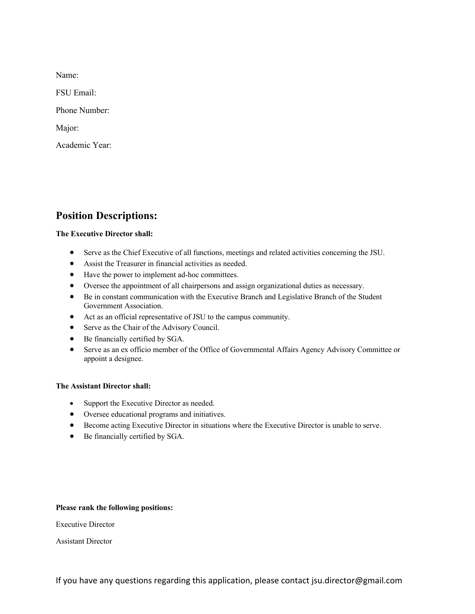Name:

FSU Email:

Phone Number:

Major:

Academic Year:

## **Position Descriptions:**

#### **The Executive Director shall:**

- Serve as the Chief Executive of all functions, meetings and related activities concerning the JSU.
- Assist the Treasurer in financial activities as needed.
- Have the power to implement ad-hoc committees.
- Oversee the appointment of all chairpersons and assign organizational duties as necessary.
- Be in constant communication with the Executive Branch and Legislative Branch of the Student Government Association.
- Act as an official representative of JSU to the campus community.
- Serve as the Chair of the Advisory Council.
- Be financially certified by SGA.
- Serve as an ex officio member of the Office of Governmental Affairs Agency Advisory Committee or appoint a designee.

#### **The Assistant Director shall:**

- Support the Executive Director as needed.
- Oversee educational programs and initiatives.
- Become acting Executive Director in situations where the Executive Director is unable to serve.
- Be financially certified by SGA.

#### **Please rank the following positions:**

Executive Director

Assistant Director